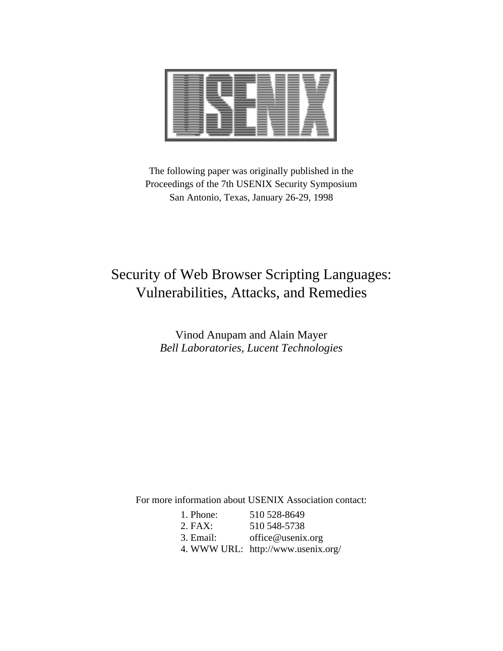

The following paper was originally published in the Proceedings of the 7th USENIX Security Symposium San Antonio, Texas, January 26-29, 1998

# Security of Web Browser Scripting Languages: Vulnerabilities, Attacks, and Remedies

Vinod Anupam and Alain Mayer *Bell Laboratories, Lucent Technologies*

For more information about USENIX Association contact:

| 1. Phone: | 510 528-8649                       |
|-----------|------------------------------------|
| $2.$ FAX: | 510 548-5738                       |
| 3. Email: | office@usenix.org                  |
|           | 4. WWW URL: http://www.usenix.org/ |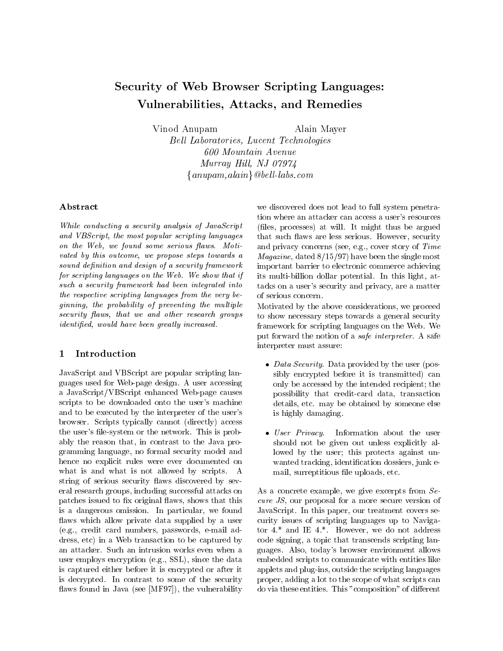## Security of Web Browser Scripting Languages: Vulnerabilities, Attacks, and Remedies

Vinod Anupam Alain Mayer

Bell Laboratories, Lucent Technologies 600 Mountain Avenue  $Murray$  Hill, NJ 07974  $\{anupam, alain\}$  @bell-labs.com

#### Abstract

While conducting a security analysis of JavaScript and VBScript, the most popular scripting languages on the Web, we found some serious flaws. Motivated by this outcome, we propose steps towards a sound definition and design of a security framework for scripting languages on the Web. We show that if such a security framework had been integrated into the respective scripting languages from the very be $ginning, the probability of preventing the multiple$ security flaws, that we and other research groups identified, would have been greatly increased.

#### $\mathbf{1}$ Introduction

JavaScript and VBScript are popular scripting languages used for Web-page design. A user accessing a JavaScript/VBScript enhanced Web-page causes scripts to be downloaded onto the user's machine and to be executed by the interpreter of the user's browser. Scripts typically cannot (directly) access the user's file-system or the network. This is probably the reason that, in contrast to the Java programming language, no formal security model and hence no explicit rules were ever documented on what is and what is not allowed by scripts. A string of serious security flaws discovered by several research groups, including successful attacks on patches issued to fix original flaws, shows that this is a dangerous omission. In particular, we found flaws which allow private data supplied by a user (e.g., credit card numbers, passwords, e-mail address, etc) in a Web transaction to be captured by an attacker. Such an intrusion works even when a user employs encryption (e.g., SSL), since the data is captured either before it is encrypted or after it is decrypted. In contrast to some of the security flaws found in Java (see [MF97]), the vulnerability we discovered does not lead to full system penetration where an attacker can access a user's resources (les, processes) at will. It might thus be argued that such flaws are less serious. However, security and privacy concerns (see, e.g., cover story of Time *Magazine*, dated  $8/15/97$  have been the single most important barrier to electronic commerce achieving its multi-billion dollar potential. In this light, attacks on a user's security and privacy, are a matter of serious concern.

Motivated by the above considerations, we proceed to show necessary steps towards a general security framework for scripting languages on the Web. We put forward the notion of a safe interpreter. A safe interpreter must assure:

- *Data Security*. Data provided by the user (possibly encrypted before it is transmitted) can only be accessed by the intended recipient; the possibility that credit-card data, transaction details, etc. may be obtained by someone else is highly damaging.
- User Privacy. Information about the user should not be given out unless explicitly allowed by the user; this protects against un wanted tracking, identification dossiers, junk email, surreptitious file uploads, etc.

As a concrete example, we give excerpts from Secure JS, our proposal for a more secure version of JavaScript. In this paper, our treatment covers security issues of scripting languages up to Navigator 4.\* and IE 4.\*. However, we do not address code signing, a topic that transcends scripting languages. Also, today's browser environment allows embedded scripts to communicate with entities like applets and plug-ins, outside the scripting languages proper, adding a lot to the scope of what scripts can do via these entities. This "composition" of different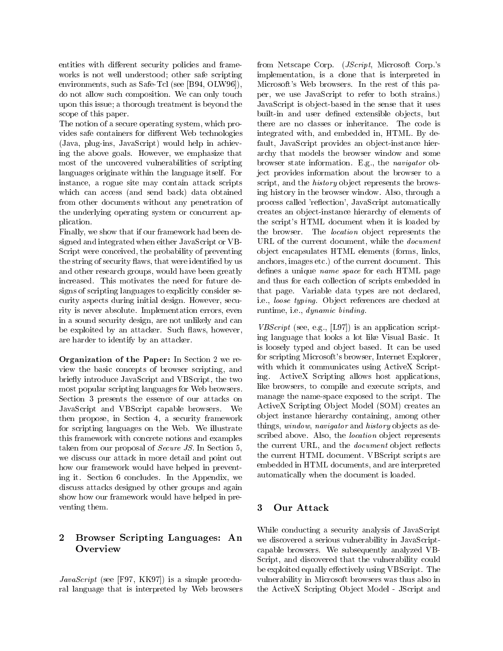entities with different security policies and frameworks is not well understood; other safe scripting environments, such as Safe-Tcl (see [B94, OLW96]), do not allow such composition. We can only touch upon this issue; a thorough treatment is beyond the scope of this paper.

The notion of a secure operating system, which provides safe containers for different Web technologies (Java, plug-ins, JavaScript) would help in achieving the above goals. However, we emphasize that most of the uncovered vulnerabilities of scripting languages originate within the language itself. For instance, a rogue site may contain attack scripts which can access (and send back) data obtained from other documents without any penetration of the underlying operating system or concurrent application.

Finally, we show that if our framework had been designed and integrated when either JavaScript or VB-Script were conceived, the probability of preventing the string of security flaws, that were identified by us and other research groups, would have been greatly increased. This motivates the need for future designs of scripting languages to explicitly consider security aspects during initial design. However, security is never absolute. Implementation errors, even in a sound security design, are not unlikely and can be exploited by an attacker. Such flaws, however, are harder to identify by an attacker.

Organization of the Paper: In Section 2 we review the basic concepts of browser scripting, and with<br>height introduce lawSerint and VBScript, the two ing. briefly introduce JavaScript and VBScript, the two most popular scripting languages for Web browsers. Section 3 presents the essence of our attacks on JavaScript and VBScript capable browsers. We then propose, in Section 4, a security framework for scripting languages on the Web. We illustrate this framework with concrete notions and examples taken from our proposal of Secure JS. In Section 5, we discuss our attack in more detail and point out how our framework would have helped in preventing it. Section 6 concludes. In the Appendix, we discuss attacks designed by other groups and again show how our framework would have helped in pre venting them.

### 2 Browser Scripting Languages: An Overview

 $JavaScript$  (see [F97, KK97]) is a simple procedural language that is interpreted by Web browsers from Netscape Corp. (JScript, Microsoft Corp.'s implementation, is a clone that is interpreted in Microsoft's Web browsers. In the rest of this paper, we use JavaScript to refer to both strains.) JavaScript is ob ject-based in the sense that it uses built-in and user defined extensible objects, but there are no classes or inheritance. The code is integrated with, and embedded in, HTML. By default, JavaScript provides an object-instance hierarchy that models the browser window and some browser state information. E.g., the navigator object provides information about the browser to a script, and the *history* object represents the browsing history in the browser window. Also, through a process called 'reflection', JavaScript automatically creates an ob ject-instance hierarchy of elements of the script's HTML document when it is loaded by the browser. The *location* object represents the URL of the current document, while the document ob ject encapsulates HTML elements (forms, links, anchors, images etc.) of the current document. This defines a unique *name space* for each HTML page and thus for each collection of scripts embedded in that page. Variable data types are not declared, i.e., loose typing. Object references are checked at runtime, i.e., dynamic binding.

*VBScript* (see, e.g., [L97]) is an application scripting language that looks a lot like Visual Basic. It is loosely typed and ob ject based. It can be used for scripting Microsoft's browser, Internet Explorer, with which it communicates using ActiveX Script-ActiveX Scripting allows host applications, like browsers, to compile and execute scripts, and manage the name-space exposed to the script. The ActiveX Scripting Object Model (SOM) creates an ob ject instance hierarchy containing, among other things, window, navigator and history objects as described above. Also, the *location* object represents the current URL, and the *document* object reflects the current HTML document. VBScript scripts are embedded in HTML documents, and are interpreted automatically when the document is loaded.

### 3

While conducting a security analysis of JavaScript we discovered a serious vulnerability in JavaScriptcapable browsers. We subsequently analyzed VB-Script, and discovered that the vulnerability could be exploited equally effectively using VBScript. The vulnerability in Microsoft browsers was thus also in the ActiveX Scripting Object Model - JScript and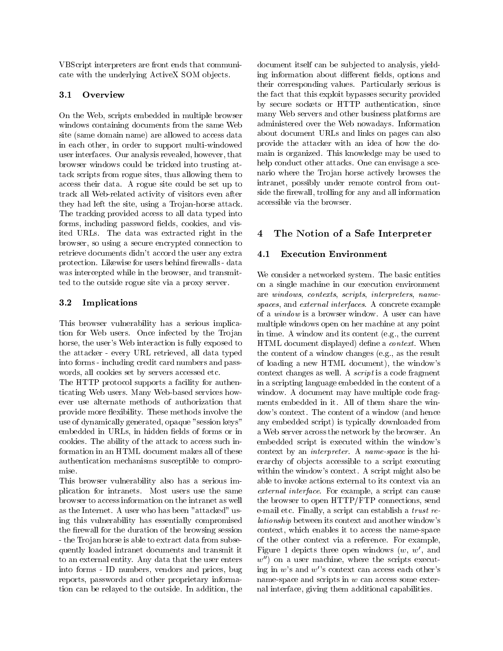VBScript interpreters are front ends that communicate with the underlying ActiveX SOM objects.

#### 3.1 Overview

On the Web, scripts embedded in multiple browser windows containing documents from the same Web site (same domain name) are allowed to access data in each other, in order to support multi-windowed user interfaces. Our analysis revealed, however, that browser windows could be tricked into trusting attack scripts from rogue sites, thus allowing them to access their data. A rogue site could be set up to track all Web-related activity of visitors even after they had left the site, using a Trojan-horse attack. The tracking provided access to all data typed into forms, including password fields, cookies, and visited URLs. The data was extracted right in the browser, so using a secure encrypted connection to retrieve documents didn't accord the user any extra 4.1 protection. Likewise for users behind firewalls - data was intercepted while in the browser, and transmitted to the outside rogue site via a proxy server.

#### 3.2 Implications

This browser vulnerability has a serious implication for Web users. Once infected by the Trojan horse, the user's Web interaction is fully exposed to the attacker - every URL retrieved, all data typed into forms - including credit card numbers and pass words, all cookies set by servers accessed etc.

The HTTP protocol supports a facility for authenticating Web users. Many Web-based services how ever use alternate methods of authorization that provide more flexibility. These methods involve the use of dynamically generated, opaque "session keys" embedded in URLs, in hidden fields of forms or in cookies. The ability of the attack to access such information in an HTML document makes all of these authentication mechanisms susceptible to compromise.

This browser vulnerability also has a serious implication for intranets. Most users use the same browser to access information on the intranet as well as the Internet. A user who has been "attacked" using this vulnerability has essentially compromised the firewall for the duration of the browsing session - the Tro jan horse is able to extract data from subsequently loaded intranet documents and transmit it to an external entity. Any data that the user enters into forms - ID numbers, vendors and prices, bug reports, passwords and other proprietary information can be relayed to the outside. In addition, the document itself can be sub jected to analysis, yielding information about different fields, options and their corresponding values. Particularly serious is the fact that this exploit bypasses security provided by secure sockets or HTTP authentication, since many Web servers and other business platforms are administered over the Web nowadays. Information about document URLs and links on pages can also provide the attacker with an idea of how the domain is organized. This knowledge may be used to help conduct other attacks. One can envisage a scenario where the Trojan horse actively browses the intranet, possibly under remote control from outside the firewall, trolling for any and all information accessible via the browser.

## 4 The Notion of a Safe Interpreter

#### **Execution Environment**

We consider a networked system. The basic entities on a single machine in our execution environment are windows, contexts, scripts, interpreters, namespaces, and external interfaces. A concrete example of a window is a browser window. A user can have multiple windows open on her machine at any point in time. A window and its content (e.g., the current HTML document displayed) define a *context*. When the content of a window changes (e.g., as the result of loading a new HTML document), the window's context changes as well. A script is a code fragment in a scripting language embedded in the content of a window. A document may have multiple code fragments embedded in it. All of them share the window's context. The content of a window (and hence any embedded script) is typically downloaded from a Web server across the network by the browser. An embedded script is executed within the window's context by an interpreter. A name-space is the hierarchy of objects accessible to a script executing within the window's context. A script might also be able to invoke actions external to its context via an external interface. For example, a script can cause the browser to open HTTP/FTP connections, send e-mail etc. Finally, a script can establish a trust relationship between its context and another window's context, which enables it to access the name-space of the other context via a reference. For example, Figure 1 depicts three open windows  $(w, w',$  and  $w'$  on a user machine, where the scripts executing in  $w$ 's and  $w$ ''s context can access each other's name-space and scripts in  $w$  can access some external interface, giving them additional capabilities.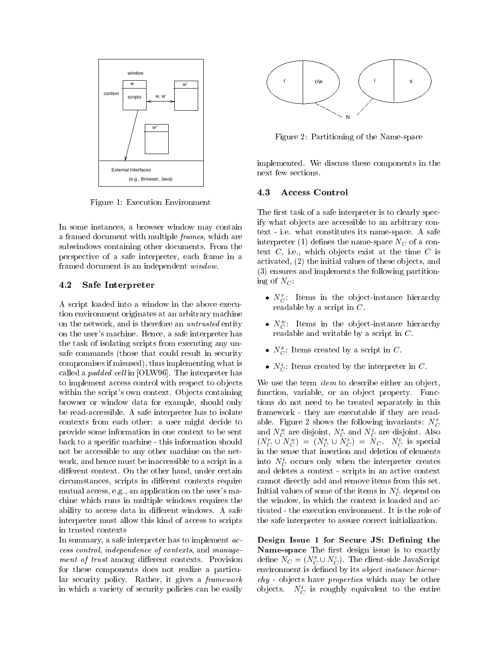

Figure 1: Execution Environment

In some instances, a browser window may contain a framed document with multiple frames, which are subwindows containing other documents. From the perspective of a safe interpreter, each frame in a framed document is an independent window.

#### 4.2 Safe Interpreter

A script loaded into a window in the above execution environment originates at an arbitrary machine on the network, and is therefore an untrusted entity on the user's machine. Hence, a safe interpreter has the task of isolating scripts from executing any unsafe commands (those that could result in security compromises if misused), thus implementing what is called a *padded cell* in [OLW96]. The interpreter has to implement access control with respect to objects within the script's own context. Objects containing browser or window data for example, should only be read-accessible. A safe interpreter has to isolate contexts from each other: a user might decide to provide some information in one context to be sent back to a specic machine - this information should not be accessible to any other machine on the net work, and hence must be inaccessible to a script in a different context. On the other hand, under certain circumstances, scripts in different contexts require mutual access, e.g., an application on the user's machine which runs in multiple windows requires the ability to access data in different windows. A safe interpreter must allow this kind of access to scripts in trusted contexts

In summary, a safe interpreter has to implement  $ac$ cess control, independence of contexts, and management of trust among different contexts. Provision for these components does not realize a particular security policy. Rather, it gives a framework in which a variety of security policies can be easily



Figure 2: Partitioning of the Name-space

implemented. We discuss these components in the next few sections.

The first task of a safe interpreter is to clearly specify what objects are accessible to an arbitrary context - i.e. what constitutes its name-space. A safe interpreter (1) defines the name-space  $N_C$  of a context  $C$ , i.e., which objects exist at the time  $C$  is activated, (2) the initial values of these objects, and (3) ensures and implements the following partitioning of  $N_C$ :

- $N_C^r$ : Items in the object-instance hierarchy readable by a script in C.
- $N_C$ : Thems in the object-instance merarchy readable and writable by a script in C.
- $N_C^s$ : Items created by a script in C.
- $\bullet$   $N_C$ : items created by the interpreter in  $\circ$ .

We use the term *item* to describe either an object, function, variable, or an object property. Functions do not need to be treated separately in this framework - they are executable if they are readable. Figure 2 shows the following invariants:  $N_C^r$ and  $N_{C}^{\perp}$  are disjoint,  $N_{C}^{\perp}$  and  $N_{C}^{\perp}$  are disjoint. Also  $(N_C \cup N_{\overline{C}}) = (N_{\overline{C}} \cup N_{\overline{C}}) = N_C$ .  $N_{\overline{C}}$  is special in the sense that insertion and deletion of elements into  $N_C$  occurs only when the interpreter creates and deletes a context - scripts in an active context cannot directly add and remove items from this set. Initial values of some of the items in  $N_C$  depend on the window, in which the context is loaded and activated - the execution environment. It is the role of the safe interpreter to assure correct initialization.

Design Issue 1 for Secure JS: Defining the Name-space The first design issue is to exactly define  $N_C = (N_C \cup N_C)$ . The client-side JavaScript environment is defined by its *object instance hierar*chy - ob jects have properties which may be other objects.  $N_C$  is roughly equivalent to the entire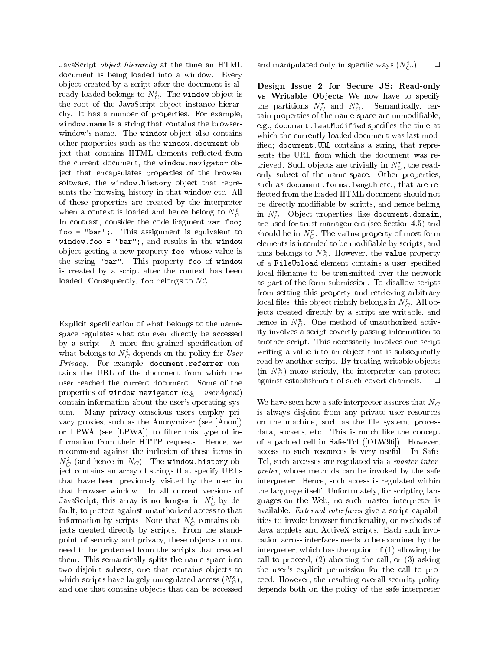JavaScript object hierarchy at the time an HTML document is being loaded into a window. Every ob ject created by a script after the document is already loaded belongs to  $N_C^s$ . The window object is the root of the JavaScript ob ject instance hierarchy. It has a number of properties. For example, window.name is a string that contains the browserwindow's name. The window object also contains other properties such as the window.document object that contains HTML elements reflected from the current document, the window.navigator object that encapsulates properties of the browser software, the window.history object that represents the browsing history in that window etc. All of these properties are created by the interpreter when a context is loaded and hence belong to  $N_C^i$ . In contrast, consider the code fragment var foo; foo = "bar";. This assignment is equivalent to window.foo = "bar";, and results in the window ob ject getting a new property foo, whose value is the string "bar". This property foo of window is created by a script after the context has been loaded. Consequently, foo belongs to  $N_C^s$ .

Explicit specification of what belongs to the namespace regulates what can ever directly be accessed by a script. A more fine-grained specification of what belongs to  $N_C$  depends on the policy for  $User \longrightarrow N$ Privacy. For example, document.referrer contains the URL of the document from which the user reached the current document. Some of the properties of window.navigator (e.g. userAgent) contain information about the user's operating system. Many privacy-conscious users employ privacy proxies, such as the Anonymizer (see [Anon]) or LPWA (see  $[LPWA]$ ) to filter this type of information from their HTTP requests. Hence, we recommend against the inclusion of these items in  $N_C$  (and hence in  $N_C$ ). The window.history ob-  $\;$  i ject contains an array of strings that specify URLs that have been previously visited by the user in that browser window. In all current versions of JavaScript, this array is **no longer** in  $N_C$  by default, to protect against unauthorized access to that information by scripts. Note that  $N_C^s$  contains objects created directly by scripts. From the standpoint of security and privacy, these ob jects do not need to be protected from the scripts that created them. This semantically splits the name-space into two disjoint subsets, one that contains objects to which scripts have largely unregulated access  $(N_C^s)$ , and one that contains ob jects that can be accessed

and manipulated only in specific ways  $(N_C^i)$ C.) <sup>2</sup>

Design Issue 2 for Secure JS: Read-only vs Writable Objects We now have to specify the partitions  $N_C$  and  $N_{\overline{C}}$ . Semantically, certain properties of the name-space are unmodiable, e.g., document.lastModified specifies the time at which the currently loaded document was last modified; document.URL contains a string that represents the URL from which the document was retrieved. Such objects are trivially in  $N_C^r$ , the readonly subset of the name-space. Other properties, such as document.forms.length etc., that are re flected from the loaded HTML document should not be directly modiable by scripts, and hence belong  $C$  . In  $N_C$ . Object properties, like document.domain, are used for trust management (see Section 4.5) and should be in  $N_C^r$ . The value property of most form elements is intended to be modiable by scripts, and thus belongs to  $N_{\tilde{C}}$ . However, the value property of a FileUpload element contains a user specied local filename to be transmitted over the network as part of the form submission. To disallow scripts from setting this property and retrieving arbitrary local files, this object rightly belongs in  $N_C^r$ . All objects created directly by a script are writable, and hence in  $N_{\tilde{C}}$ . One method of unauthorized activity involves a script covertly passing information to another script. This necessarily involves one script writing a value into an object that is subsequently read by another script. By treating writable objects  $\left(\text{in } N_C\right)$  more strictly, the interpreter can protect against establishment of such covert channels. <sup>2</sup>  $\Box$ 

We have seen how a safe interpreter assures that  $N_C$ is always disjoint from any private user resources on the machine, such as the file system, process data, sockets, etc. This is much like the concept of a padded cell in Safe-Tcl ([OLW96]). However, access to such resources is very useful. In Safe-Tcl, such accesses are regulated via a master interpreter, whose methods can be invoked by the safe interpreter. Hence, such access is regulated within the language itself. Unfortunately, for scripting languages on the Web, no such master interpreter is available. External interfaces give a script capabilities to invoke browser functionality, or methods of Java applets and ActiveX scripts. Each such invocation across interfaces needs to be examined by the interpreter, which has the option of (1) allowing the call to proceed, (2) aborting the call, or (3) asking the user's explicit permission for the call to proceed. However, the resulting overall security policy depends both on the policy of the safe interpreter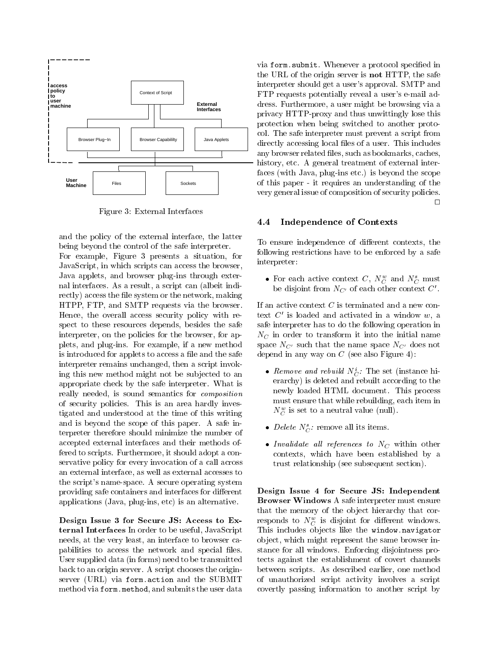

Figure 3: External Interfaces

and the policy of the external interface, the latter being beyond the control of the safe interpreter. For example, Figure 3 presents a situation, for JavaScript, in which scripts can access the browser, Java applets, and browser plug-ins through external interfaces. As a result, a script can (albeit indirectly) access the file system or the network, making HTPP, FTP, and SMTP requests via the browser. Hence, the overall access security policy with respect to these resources depends, besides the safe interpreter, on the policies for the browser, for applets, and plug-ins. For example, if a new method is introduced for applets to access a file and the safe interpreter remains unchanged, then a script invoking this new method might not be sub jected to an appropriate check by the safe interpreter. What is really needed, is sound semantics for composition of security policies. This is an area hardly investigated and understood at the time of this writing and is beyond the scope of this paper. A safe interpreter therefore should minimize the number of accepted external interfaces and their methods offered to scripts. Furthermore, it should adopt a conservative policy for every invocation of a call across an external interface, as well as external accesses to the script's name-space. A secure operating system providing safe containers and interfaces for different applications (Java, plug-ins, etc) is an alternative.

Design Issue 3 for Secure JS: Access to External Interfaces In order to be useful, JavaScript needs, at the very least, an interface to browser capabilities to access the network and special files. User supplied data (in forms) need to be transmitted back to an origin server. A script chooses the originserver (URL) via form.action and the SUBMIT method via form.method, and submits the user data via form.submit. Whenever a protocol specied in the URL of the origin server is not HTTP, the safe interpreter should get a user's approval. SMTP and FTP requests potentially reveal a user's e-mail address. Furthermore, a user might be browsing via a privacy HTTP-proxy and thus unwittingly lose this protection when being switched to another protocol. The safe interpreter must prevent a script from directly accessing local files of a user. This includes any browser related files, such as bookmarks, caches, history, etc. A general treatment of external interfaces (with Java, plug-ins etc.) is beyond the scope of this paper - it requires an understanding of the very general issue of composition of security policies.  $\Box$ 

#### 4.4 Independence of Contexts

To ensure independence of different contexts, the following restrictions have to be enforced by a safe interpreter:

 $\bullet$  for each active context  $\cup$ ,  $N_{C}^{\perp}$  and  $N_{C}^{\perp}$  must be disjoint from  $N_{C'}$  of each other context  $C'$ .

If an active context  $C$  is terminated and a new context  $C'$  is loaded and activated in a window  $w$ , a safe interpreter has to do the following operation in  $N_C$  in order to transform it into the initial name space  $N_{C'}$  such that the name space  $N_{C'}$  does not depend in any way on  $C$  (see also Figure 4):

- *Remove and rebuild*  $N_C$ : The set (instance inerarchy) is deleted and rebuilt according to the newly loaded HTML document. This process must ensure that while rebuilding, each item in  $N_{\tilde{C}}$  is set to a neutral value (null).
- Delete  $N_C^s$ : remove all its items.
- Invalidate all references to  $N_C$  within other contexts, which have been established by a trust relationship (see subsequent section).

Design Issue 4 for Secure JS: Independent Browser Windows A safe interpreter must ensure that the memory of the object hierarchy that corresponds to  $N_{C}^{\perp}$  is disjoint for different windows. This includes objects like the window.navigator ob ject, which might represent the same browser instance for all windows. Enforcing disjointness protects against the establishment of covert channels between scripts. As described earlier, one method of unauthorized script activity involves a script covertly passing information to another script by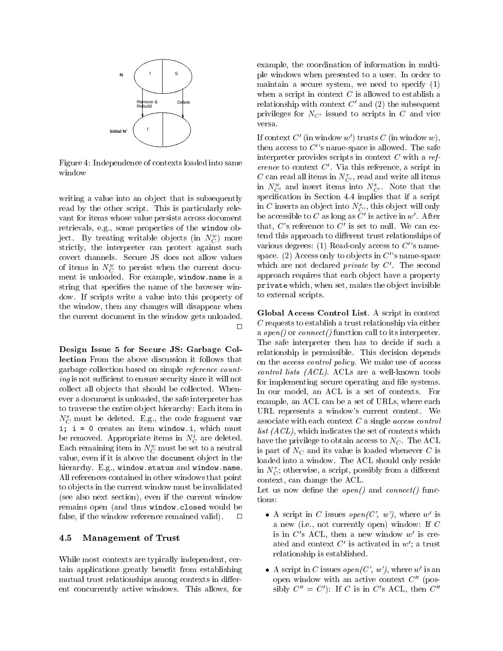

Figure 4: Independence of contexts loaded into same window

writing a value into an object that is subsequently read by the other script. This is particularly rele vant for items whose value persists across document retrievals, e.g., some properties of the window object. By treating writable objects (in  $N_{C}^{\pm}$ ) more  $\sim$ strictly, the interpreter can protect against such covert channels. Secure JS does not allow values of froms in  $N_C$  to persist when the current document is unloaded. For example, window.name is a string that specifies the name of the browser window. If scripts write a value into this property of the window, then any changes will disappear when the current document in the window gets unloaded.  $\Box$ 

Design Issue 5 for Secure JS: Garbage Collection From the above discussion it follows that garbage collection based on simple reference count $ing$  is not sufficient to ensure security since it will not collect all objects that should be collected. Whenever a document is unloaded, the safe interpreter has to traverse the entire ob ject hierarchy: Each item in  $N_C^s$  must be deleted. E.g., the code fragment var i; i = 0 creates an item window.i, which must be removed. Appropriate items in  $N_C$  are deleted.  $\Box$ Each remaining item in  $N_C$  must be set to a neutral  $\frac{1}{3}$ value, even if it is above the document object in the hierarchy. E.g., window.status and window.name. All references contained in other windows that point to ob jects in the current window must be invalidated (see also next section), even if the current window  $\epsilon$  tions: remains open (and thus window.closed would be false, if the window reference remained valid).  $\Box$ 

#### 4.5 Management of Trust

While most contexts are typically independent, certain applications greatly benet from establishing mutual trust relationships among contexts in different concurrently active windows. This allows, for

example, the coordination of information in multiple windows when presented to a user. In order to maintain a secure system, we need to specify (1) when a script in context  $C$  is allowed to establish a relationship with context  $C'$  and (2) the subsequent privileges for  $N_{C}$  issued to scripts in C and vice versa.

If context  $C'$  (in window w') trusts C (in window w), then access to  $C^{\prime\prime}$  name-space is allowed. The safe interpreter provides scripts in context  $C$  with a reference to context  $C'$ . Via this reference, a script in C can read all items in  $N_{C'}^r$ , read and write all items in  $N_{C'}^{\perp}$  and insert items into  $N_{C'}^{\perp}$ . Note that the specification in Section 4.4 implies that if a script in C inserts an object into  $N_{C'}^s$ , this object will only be accessible to  $C$  as long as  $C'$  is active in  $w'$ . After that,  $C$ 's reference to  $C'$  is set to null. We can extend this approach to different trust relationships of various degrees: (1) Read-only access to  $C''s$  namespace. (2) Access only to objects in  $C''$  s name-space which are not declared *private* by  $C'$ . The second approach requires that each object have a property private which, when set, makes the object invisible to external scripts.

a *open()* or *connect()* function call to its interpreter. Global Access Control List. A script in context  $C$  requests to establish a trust relationship via either The safe interpreter then has to decide if such a relationship is permissible. This decision depends on the access control policy. We make use of access control lists (ACL). ACLs are a well-known tools for implementing secure operating and file systems. In our model, an ACL is a set of contexts. For example, an ACL can be a set of URLs, where each URL represents a window's current content. We associate with each context  $C$  a single *access control list*  $(ACL)$ , which indicates the set of contexts which have the privilege to obtain access to  $N<sub>C</sub>$ . The ACL is part of  $N_C$  and its value is loaded whenever C is loaded into a window. The ACL should only reside in  $N_C^r$ ; otherwise, a script, possibly from a different context, can change the ACL.

Let us now define the *open*() and *connect*() func-

- A script in C issues open(C', w'), where w' is a new (i.e., not currently open) window: If <sup>C</sup> is in  $C$ 's ACL, then a new window  $w'$  is created and context  $C'$  is activated in  $w'$ ; a trust relationship is established.
- A script in C issues  $open(C', w')$ , where w' is an open window with an active context  $C''$  (possibly  $C'' = C'$ : If C is in C's ACL, then  $C''$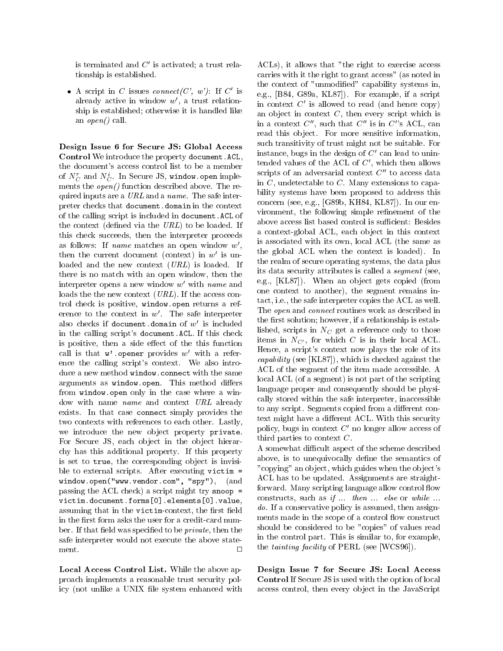is terminated and  $C'$  is activated; a trust relationship is established.

• A script in C issues connect(C', w'): If C' is already active in window  $w'$ , a trust relationship is established; otherwise it is handled like an  $open()$  call.

Design Issue 6 for Secure JS: Global Access Control We introduce the property document.ACL, the document's access control list to be a member of  $N_C$  and  $N_C$ . In secure JS, window.open implements the *open*() function described above. The required inputs are a  $URL$  and a name. The safe interpreter checks that document.domain in the context of the calling script is included in document.ACL of the context (defined via the  $URL$ ) to be loaded. If this check succeeds, then the interpreter proceeds as follows: If *name* matches an open window  $w'$ , then the current document (context) in  $w'$  is unloaded and the new context  $(URL)$  is loaded. If there is no match with an open window, then the interpreter opens a new window  $w'$  with name and loads the the new context *(URL)*. If the access control check is positive, window.open returns a reference to the context in  $w'$ . The safe interpreter also checks if document.domain of  $w'$  is included in the calling script's document.ACL. If this check is positive, then a side effect of the this function call is that  $w'$  opener provides  $w'$  with a reference the calling script's context. We also introduce a new method window.connect with the same arguments as window.open. This method differs from window.open only in the case where a window with name name and context URL already exists. In that case connect simply provides the two contexts with references to each other. Lastly, we introduce the new object property private. For Secure JS, each object in the object hierarchy has this additional property. If this property is set to true, the corresponding object is invisible to external scripts. After executing victim = window.open("www.vendor.com", "spy"), (and passing the ACL check) a script might try snoop = victim.document.forms[0].elements[0].value, assuming that in the victim-context, the first field in the first form asks the user for a credit-card number. If that field was specified to be *private*, then the safe interpreter would not execute the above state- $\Box$ 

Local Access Control List. While the above approach implements a reasonable trust security policy (not unlike a UNIX file system enhanced with

ACLs), it allows that "the right to exercise access carries with it the right to grant access" (as noted in the context of "unmodied" capability systems in, e.g., [B84, G89a, KL87]). For example, if a script in context  $C'$  is allowed to read (and hence copy) an object in context  $C$ , then every script which is in a context  $C''$ , such that  $C''$  is in  $C''$ s ACL, can read this object. For more sensitive information, such transitivity of trust might not be suitable. For instance, bugs in the design of  $C'$  can lead to unintended values of the ACL of  $C'$ , which then allows scripts of an adversarial context  $C''$  to access data in  $C$ , undetectable to  $C$ . Many extensions to capability systems have been proposed to address this concern (see, e.g., [G89b, KH84, KL87]). In our environment, the following simple refinement of the above access list based control is sufficient: Besides a context-global ACL, each ob ject in this context is associated with its own, local ACL (the same as the global ACL when the context is loaded). In the realm of secure operating systems, the data plus its data security attributes is called a segment (see, e.g., [KL87]). When an object gets copied (from one context to another), the segment remains intact, i.e., the safe interpreter copies the ACL as well. The open and connect routines work as described in the first solution; however, if a relationship is established, scripts in  $N_C$  get a reference only to those items in  $N_{C'}$ , for which C is in their local ACL. Hence, a script's context now plays the role of its capability (see [KL87]), which is checked against the ACL of the segment of the item made accessible. A local ACL (of a segment) is not part of the scripting language proper and consequently should be physically stored within the safe interpreter, inaccessible to any script. Segments copied from a different context might have a different ACL. With this security policy, bugs in context  $C<sup>'</sup>$  no longer allow access of third parties to context  $C$ .

A somewhat difficult aspect of the scheme described above, is to unequivocally define the semantics of "copying" an ob ject, which guides when the ob ject's ACL has to be updated. Assignments are straightforward. Many scripting language allow control flow constructs, such as if ... then ... else or while ... do. If a conservative policy is assumed, then assignments made in the scope of a control flow construct should be considered to be "copies" of values read in the control part. This is similar to, for example, the *tainting facility* of PERL (see [WCS96]).

Design Issue 7 for Secure JS: Local Access Control If Secure JS is used with the option of local access control, then every ob ject in the JavaScript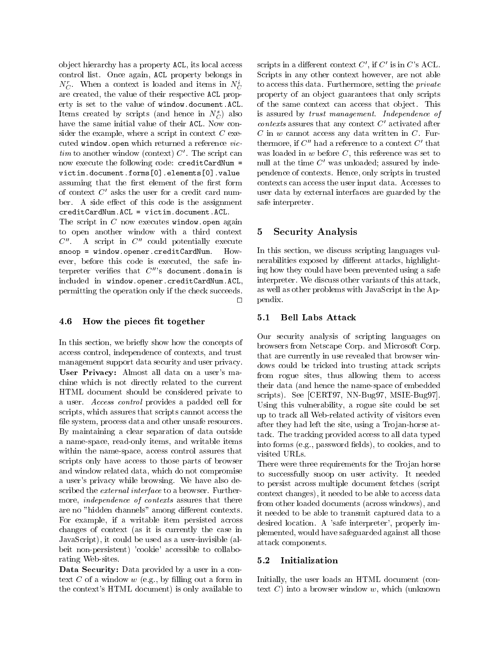ob ject hierarchy has a property ACL, its local access control list. Once again, ACL property belongs in  $N_C^r$ . When a context is loaded and items in  $N_C^i$ are created, the value of their respective ACL property is set to the value of window.document.ACL. Items created by scripts (and hence in  $N_C^s$ ) also have the same initial value of their ACL. Now consider the example, where a script in context  $C$  executed window.open which returned a reference vic $tim to another window (context) C'. The script can$ now execute the following code: creditCardNum = victim.document.forms[0].elements[0].value assuming that the first element of the first form of context  $C'$  asks the user for a credit card number. A side effect of this code is the assignment creditCardNum.ACL = victim.document.ACL.

The script in  $C$  now executes window.open again to open another window with a third context 5  $C''$ . A script in  $C''$  could potentially execute  $\texttt{smooth} = \texttt{window}.\texttt{opener}.\texttt{creditCardNum}.$ However, before this code is executed, the safe interpreter verifies that  $C^{\prime\prime}$ 's document.domain is included in window.opener.creditCardNum.ACL, permitting the operation only if the check succeeds.  $\Box$ 

#### 4.6 How the pieces fit together

In this section, we briefly show how the concepts of access control, independence of contexts, and trust management support data security and user privacy. User Privacy: Almost all data on a user's machine which is not directly related to the current HTML document should be considered private to a user. Access control provides a padded cell for scripts, which assures that scripts cannot access the file system, process data and other unsafe resources. By maintaining a clear separation of data outside a name-space, read-only items, and writable items within the name-space, access control assures that scripts only have access to those parts of browser and window related data, which do not compromise a user's privacy while browsing. We have also described the external interface to a browser. Furthermore, *independence* of *contexts* assures that there are no "hidden channels" among different contexts. For example, if a writable item persisted across changes of context (as it is currently the case in JavaScript), it could be used as a user-invisible (albeit non-persistent) 'cookie' accessible to collaborating Web-sites.

Data Security: Data provided by a user in a context  $C$  of a window  $w$  (e.g., by filling out a form in the context's HTML document) is only available to

scripts in a different context  $C'$ , if  $C'$  is in  $C'$ s ACL. Scripts in any other context however, are not able to access this data. Furthermore, setting the *private* property of an ob ject guarantees that only scripts of the same context can access that ob ject. This is assured by trust management. Independence of  $contexts$  assures that any context  $C<sup>'</sup>$  activated after  $C$  in  $w$  cannot access any data written in  $C$ . Furthermore, if  $C''$  had a reference to a context  $C'$  that was loaded in  $w$  before  $C$ , this reference was set to null at the time  $C'$  was unloaded; assured by independence of contexts. Hence, only scripts in trusted contexts can access the user input data. Accesses to user data by external interfaces are guarded by the safe interpreter.

#### 5 Security Analysis

In this section, we discuss scripting languages vulnerabilities exposed by different attacks, highlighting how they could have been prevented using a safe interpreter. We discuss other variants of this attack, as well as other problems with JavaScript in the Appendix.

#### **Bell Labs Attack**  $5.1$

Our security analysis of scripting languages on browsers from Netscape Corp. and Microsoft Corp. that are currently in use revealed that browser windows could be tricked into trusting attack scripts from rogue sites, thus allowing them to access their data (and hence the name-space of embedded scripts). See [CERT97, NN-Bug97, MSIE-Bug97]. Using this vulnerability, a rogue site could be set up to track all Web-related activity of visitors even after they had left the site, using a Trojan-horse attack. The tracking provided access to all data typed into forms (e.g., password fields), to cookies, and to visited URLs.

There were three requirements for the Trojan horse to successfully snoop on user activity. It needed to persist across multiple document fetches (script context changes), it needed to be able to access data from other loaded documents (across windows), and it needed to be able to transmit captured data to a desired location. A 'safe interpreter', properly implemented, would have safeguarded against all those attack components.

#### 5.2 Initialization

Initially, the user loads an HTML document (context  $C$ ) into a browser window  $w$ , which (unknown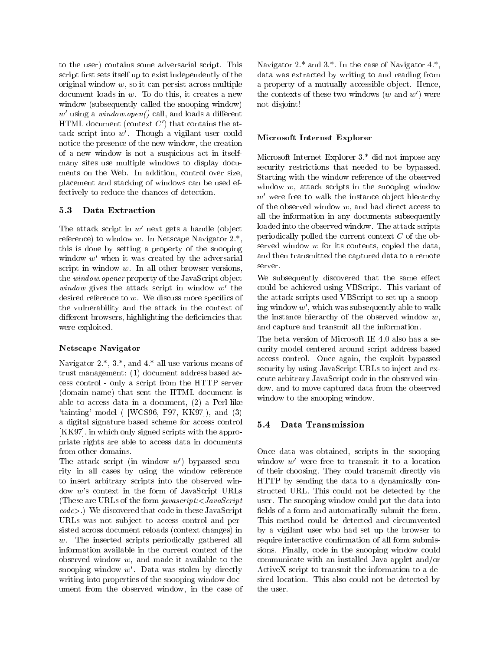to the user) contains some adversarial script. This script first sets itself up to exist independently of the original window  $w$ , so it can persist across multiple document loads in  $w$ . To do this, it creates a new window (subsequently called the snooping window)  $w'$  using a window.open() call, and loads a different HTML document (context  $C'$ ) that contains the attack script into  $w'$ . Though a vigilant user could notice the presence of the new window, the creation of a new window is not a suspicious act in itselfmany sites use multiple windows to display documents on the Web. In addition, control over size, placement and stacking of windows can be used effectively to reduce the chances of detection.

#### $5.3$ Data Extraction

The attack script in  $w'$  next gets a handle (object reference) to window w. In Netscape Navigator  $2.*$ , this is done by setting a property of the snooping window  $w'$  when it was created by the adversarial script in window  $w$ . In all other browser versions, the *window.opener* property of the JavaScript object window gives the attack script in window  $w'$  the desired reference to  $w$ . We discuss more specifics of the vulnerability and the attack in the context of different browsers, highlighting the deficiencies that were exploited.

#### Netscape Navigator

Navigator 2.\*, 3.\*, and 4.\* all use various means of trust management: (1) document address based access control - only a script from the HTTP server (domain name) that sent the HTML document is able to access data in a document, (2) a Perl-like 'tainting' model ( [WCS96, F97, KK97]), and (3) a digital signature based scheme for access control 5.4 [KK97], in which only signed scripts with the appropriate rights are able to access data in documents from other domains.

The attack script (in window  $w'$ ) bypassed security in all cases by using the window reference to insert arbitrary scripts into the observed window <sup>w</sup>'s context in the form of JavaScript URLs (These are URLs of the form *javascript:<JavaScript*) code>.) We discovered that code in these JavaScript URLs was not subject to access control and persisted across document reloads (context changes) in w. The inserted scripts periodically gathered all information available in the current context of the observed window  $w$ , and made it available to the snooping window  $w'$ . Data was stolen by directly writing into properties of the snooping window document from the observed window, in the case of Navigator  $2.*$  and  $3.*$ . In the case of Navigator  $4.*$ , data was extracted by writing to and reading from a property of a mutually accessible object. Hence, the contexts of these two windows  $(w \text{ and } w')$  were not disjoint!

#### Microsoft Internet Explorer

Microsoft Internet Explorer 3.\* did not impose any security restrictions that needed to be bypassed. Starting with the window reference of the observed window  $w$ , attack scripts in the snooping window  $w'$  were free to walk the instance object hierarchy of the observed window  $w$ , and had direct access to all the information in any documents subsequently loaded into the observed window. The attack scripts periodically polled the current context <sup>C</sup> of the observed window <sup>w</sup> for its contents, copied the data, and then transmitted the captured data to a remote server.

We subsequently discovered that the same effect could be achieved using VBScript. This variant of the attack scripts used VBScript to set up a snooping window  $w'$ , which was subsequently able to walk the instance hierarchy of the observed window  $w$ , and capture and transmit all the information.

The beta version of Microsoft IE 4.0 also has a security model centered around script address based access control. Once again, the exploit bypassed security by using JavaScript URLs to inject and execute arbitrary JavaScript code in the observed window, and to move captured data from the observed window to the snooping window.

#### 5.4 Data Transmission

Once data was obtained, scripts in the snooping window  $w'$  were free to transmit it to a location of their choosing. They could transmit directly via HTTP by sending the data to a dynamically constructed URL. This could not be detected by the user. The snooping window could put the data into fields of a form and automatically submit the form. This method could be detected and circumvented by a vigilant user who had set up the browser to require interactive confirmation of all form submissions. Finally, code in the snooping window could communicate with an installed Java applet and/or ActiveX script to transmit the information to a desired location. This also could not be detected by the user.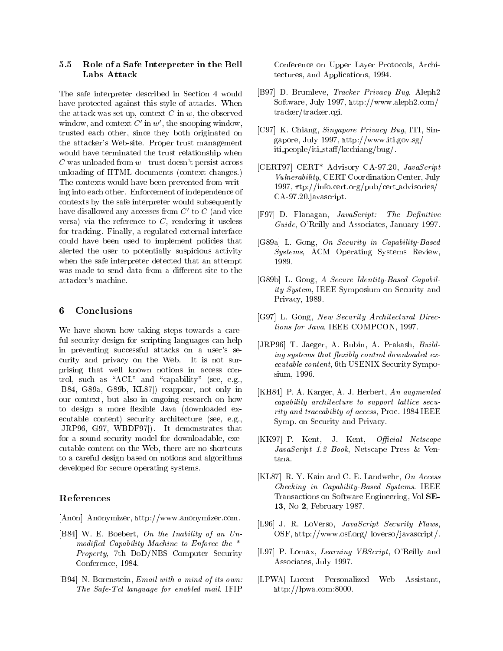#### 5.5 Role of a Safe Interpreter in the Bell Labs Attack

The safe interpreter described in Section 4 would have protected against this style of attacks. When the attack was set up, context  $C$  in  $w$ , the observed window, and context  $C'$  in w', the snooping window, trusted each other, since they both originated on the attacker's Web-site. Proper trust management would have terminated the trust relationship when  $C$  was unloaded from  $w$  - trust doesn't persist across unloading of HTML documents (context changes.) The contexts would have been prevented from writing into each other. Enforcement of independence of contexts by the safe interpreter would subsequently have disallowed any accesses from  $C'$  to  $C$  (and vice versa) via the reference to  $C$ , rendering it useless for tracking. Finally, a regulated external interface could have been used to implement policies that alerted the user to potentially suspicious activity when the safe interpreter detected that an attempt was made to send data from a different site to the attacker's machine.

#### 6 **Conclusions**

We have shown how taking steps towards a careful security design for scripting languages can help in preventing successful attacks on a user's security and privacy on the Web. It is not surprising that well known notions in access control, such as " $ACL$ " and "capability" (see, e.g., [B84, G89a, G89b, KL87]) reappear, not only in our context, but also in ongoing research on how to design a more flexible Java (downloaded executable content) security architecture (see, e.g., [JRP96, G97, WBDF97]). It demonstrates that for a sound security model for downloadable, executable content on the Web, there are no shortcuts to a careful design based on notions and algorithms developed for secure operating systems.

### References

[Anon] Anonymizer, http://www.anonymizer.com.

- [B84] W. E. Boebert, On the Inability of an Unmodified Capability Machine to Enforce the  $*$ -Property, 7th DoD/NBS Computer Security Conference, 1984.
- [B94] N. Borenstein, Email with a mind of its own: The Safe-Tcl language for enabled mail, IFIP

Conference on Upper Layer Protocols, Architectures, and Applications, 1994.

- [B97] D. Brumleve, Tracker Privacy Bug, Aleph2 Software, July 1997, http://www.aleph2.com/ tracker/tracker.cgi.
- [C97] K. Chiang, Singapore Privacy Bug, ITI, Singapore, July 1997, http://www.iti.gov.sg/  $iti$  people/iti\_staff/kcchiang/bug/.
- [CERT97] CERT\* Advisory CA-97.20, JavaScript Vulnerability, CERT Coordination Center, July 1997, ftp://info.cert.org/pub/cert advisories/ CA-97.20.javascript.
- [F97] D. Flanagan,  $JavaScript:$  The Definitive Guide, O'Reilly and Associates, January 1997.
- [G89a] L. Gong, On Security in Capability-Based Systems, ACM Operating Systems Review, 1989.
- [G89b] L. Gong, A Secure Identity-Based Capability System, IEEE Symposium on Security and Privacy, 1989.
- [G97] L. Gong, New Security Architectural Directions for Java, IEEE COMPCON, 1997.
- [JRP96] T. Jaeger, A. Rubin, A. Prakash, Building systems that flexibly control downloaded  $ex$ ecutable content, 6th USENIX Security Symposium, 1996.
- [KH84] P. A. Karger, A. J. Herbert, An augmented capability architecture to support lattice security and traceability of access, Proc. 1984 IEEE Symp. on Security and Privacy.
- [KK97] P. Kent, J. Kent, Official Netscape JavaScript 1.2 Book, Netscape Press & Ven-
- [KL87] R. Y. Kain and C. E. Landwehr,  $On \ Access$ Checking in Capability-Based Systems. IEEE Transactions on Software Engineering, Vol SE-13, No 2, February 1987.
- [L96] J. R. LoVerso, JavaScript Security Flaws, OSF, http://www.osf.org/ loverso/javascript/.
- [L97] P. Lomax, *Learning VBScript*, O'Reilly and Associates, July 1997.
- [LPWA] Lucent Personalized Web Assistant, http://lpwa.com:8000.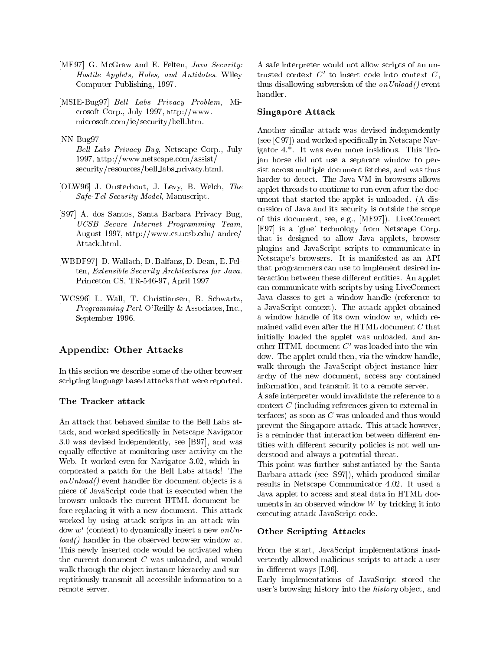- [MF97] G. McGraw and E. Felten, *Java Security:* Hostile Applets, Holes, and Antidotes. Wiley Computer Publishing, 1997.
- [MSIE-Bug97] *Bell Labs Privacy Problem*, Microsoft Corp., July 1997, http://www. microsoft.com/ie/security/bell.htm.
- [NN-Bug97]
	- Bell Labs Privacy Bug, Netscape Corp., July 1997, http://www.netscape.com/assist/ security/resources/bell\_labs\_privacy.html.
- [OLW96] J. Ousterhout, J. Levy, B. Welch, The Safe-Tcl Security Model, Manuscript.
- [S97] A. dos Santos, Santa Barbara Privacy Bug, UCSB Secure Internet Programming Team, August 1997, http://www.cs.ucsb.edu/ andre/ Attack.html.
- [WBDF97] D. Wallach, D. Balfanz, D. Dean, E. Felten, Extensible Security Architectures for Java. Princeton CS, TR-546-97, April 1997
- [WCS96] L. Wall, T. Christiansen, R. Schwartz, Programming Perl. O'Reilly & Associates, Inc., September 1996.

### Appendix: Other Attacks

In this section we describe some of the other browser scripting language based attacks that were reported.

#### The Tracker attack

An attack that behaved similar to the Bell Labs attack, and worked specically in Netscape Navigator 3.0 was devised independently, see [B97], and was equally effective at monitoring user activity on the Web. It worked even for Navigator 3.02, which incorporated a patch for the Bell Labs attack! The  $onUnload()$  event handler for document objects is a piece of JavaScript code that is executed when the browser unloads the current HTML document before replacing it with a new document. This attack worked by using attack scripts in an attack window  $w'$  (context) to dynamically insert a new onUn $load()$  handler in the observed browser window w. This newly inserted code would be activated when the current document  $C$  was unloaded, and would walk through the object instance hierarchy and surreptitiously transmit all accessible information to a remote server.

A safe interpreter would not allow scripts of an untrusted context  $C'$  to insert code into context  $C$ , thus disallowing subversion of the *on Unload* () event handler.

#### Singapore Attack

Another similar attack was devised independently (see [C97]) and worked specically in Netscape Navigator 4.\*. It was even more insidious. This Trojan horse did not use a separate window to persist across multiple document fetches, and was thus harder to detect. The Java VM in browsers allows applet threads to continue to run even after the document that started the applet is unloaded. (A discussion of Java and its security is outside the scope of this document, see, e.g., [MF97]). LiveConnect [F97] is a 'glue' technology from Netscape Corp. that is designed to allow Java applets, browser plugins and JavaScript scripts to communicate in Netscape's browsers. It is manifested as an API that programmers can use to implement desired interaction between these different entities. An applet can communicate with scripts by using LiveConnect Java classes to get a window handle (reference to a JavaScript context). The attack applet obtained a window handle of its own window w, which remained valid even after the HTML document <sup>C</sup> that initially loaded the applet was unloaded, and another HTML document  $C'$  was loaded into the window. The applet could then, via the window handle, walk through the JavaScript object instance hierarchy of the new document, access any contained information, and transmit it to a remote server. A safe interpreter would invalidate the reference to a context  $C$  (including references given to external interfaces) as soon as  $C$  was unloaded and thus would prevent the Singapore attack. This attack however,

is a reminder that interaction between different entities with different security policies is not well understood and always a potential threat.

This point was further substantiated by the Santa Barbara attack (see [S97]), which produced similar results in Netscape Communicator 4.02. It used a Java applet to access and steal data in HTML documents in an observed window  $W$  by tricking it into executing attack JavaScript code.

#### Other Scripting Attacks

From the start, JavaScript implementations inad vertently allowed malicious scripts to attack a user in different ways [L96].

Early implementations of JavaScript stored the user's browsing history into the *history* object, and